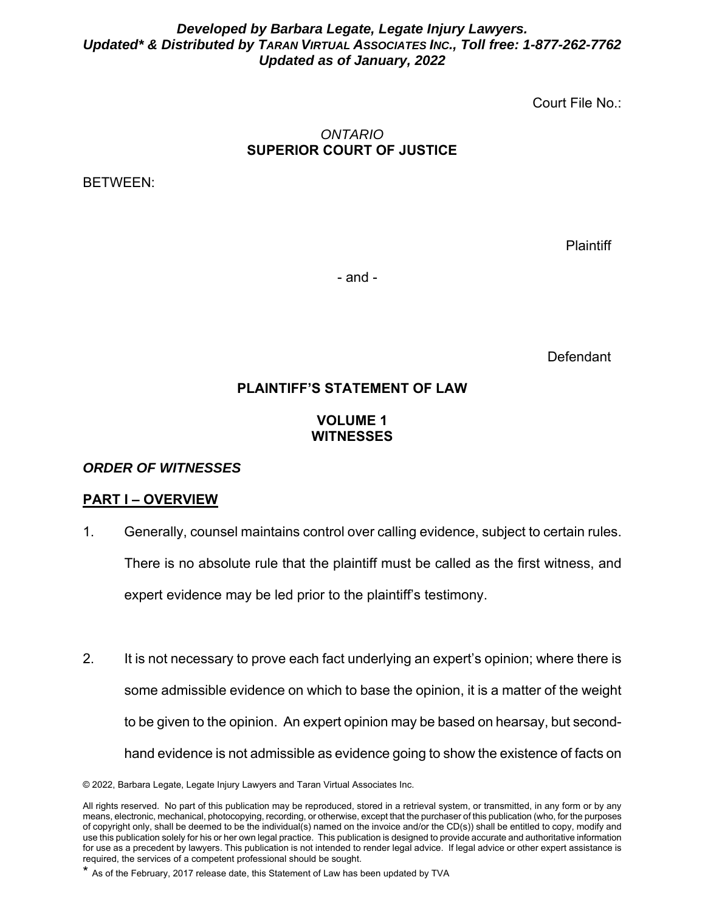## *Developed by Barbara Legate, Legate Injury Lawyers. Updated\* & Distributed by TARAN VIRTUAL ASSOCIATES INC., Toll free: 1-877-262-7762 Updated as of January, 2022*

Court File No.:

#### *ONTARIO*  **SUPERIOR COURT OF JUSTICE**

BETWEEN:

**Plaintiff** 

- and -

**Defendant** 

# **PLAINTIFF'S STATEMENT OF LAW**

# **VOLUME 1 WITNESSES**

## *ORDER OF WITNESSES*

## **PART I – OVERVIEW**

- 1. Generally, counsel maintains control over calling evidence, subject to certain rules. There is no absolute rule that the plaintiff must be called as the first witness, and expert evidence may be led prior to the plaintiff's testimony.
- 2. It is not necessary to prove each fact underlying an expert's opinion; where there is some admissible evidence on which to base the opinion, it is a matter of the weight to be given to the opinion. An expert opinion may be based on hearsay, but secondhand evidence is not admissible as evidence going to show the existence of facts on

<sup>© 2022,</sup> Barbara Legate, Legate Injury Lawyers and Taran Virtual Associates Inc.

All rights reserved. No part of this publication may be reproduced, stored in a retrieval system, or transmitted, in any form or by any means, electronic, mechanical, photocopying, recording, or otherwise, except that the purchaser of this publication (who, for the purposes of copyright only, shall be deemed to be the individual(s) named on the invoice and/or the CD(s)) shall be entitled to copy, modify and use this publication solely for his or her own legal practice. This publication is designed to provide accurate and authoritative information for use as a precedent by lawyers. This publication is not intended to render legal advice. If legal advice or other expert assistance is required, the services of a competent professional should be sought.

<sup>\*</sup> As of the February, 2017 release date, this Statement of Law has been updated by TVA